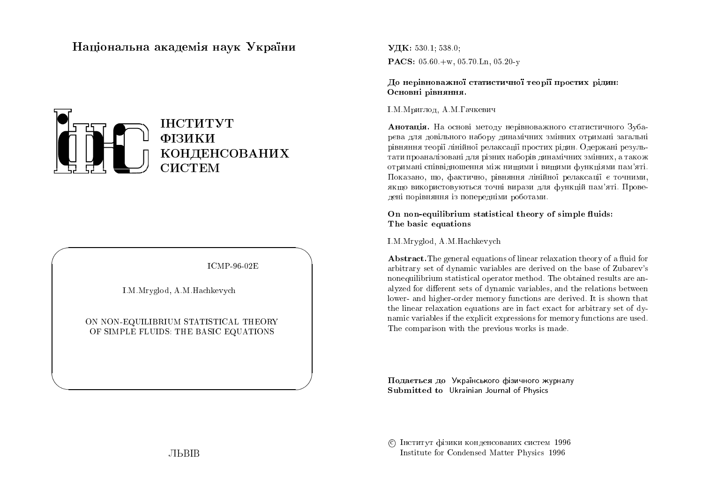# Національна академія наук  $\mathbf{{V}}$ країни



ICMP-96-02E

 $\bigwedge$ 

 $\bigcup$ 

I.M.Mryglod, A.M.Hachkevych

 $\bigg($ 

 $\setminus$ 

### ON NON-EQUILIBRIUM STATISTICAL THEORY<br>OF SIMPLE ELUIDS, THE BASIC FOUATIONS OF SIMPLE FLUIDS: THE BASIC EQUATIONS

 $\rm{V\!I\!K:}$  530.1; 538.0;  $\mathbf{PACS:}\; 05.60 + w, \, 05.70 \, \mathrm{Ln}, \, 05.20$ -y

До нерівноважної статистичної теорії простих рідин:<br>. Основні рівняння.

#### I.M.Мриглод, А.М.Гачкевич

**Анотація.** На основі методу нерівноважного статистичного Зубарєва для довільного набору динамічних змінних отримані загальні рівняння теорії лінійної релаксації простих рідин. Одержані результати проаналізовані для різних наборів динамічних змінних, а також отримані співвідношення між нищими і вищими функціями пам'яті.<br>Портавил расійствовання расійських расійських расійських Показано, що, фактично, рівняння лінійної релаксації є точними, якщо використовуються точні вирази для функцій пам'яті. Проведені порівняння із попередніми роботами.<br>.

On non-equilibrium statistical theory of simple fluids:<br>The basic equations The basic equations

I.M.Mryglod, A.M.Hachkevych

 ${\bf Abstract}.\text{The general equations of linear relaxation theory of a fluid for}$ arbitrary set of dynamic variables are derived on the base of Zubarev's nonequilibrium statistical operator method. The obtained results are an-<br>clused for different acts of description with heart the relations hat even alyzed for different sets of dynamic variables, and the relations between lower- and higher-order memory functions are derived. It is shown that the linear relaxation equations are in fact exact for arbitrary set of dynamic variables if the explicit expressions for memory functions are used. The comparison with the previous works is made.

Подається до Українського фізичного журналу<br>С Submitted to Ukrainian Journal of Physics

© Інститут фізики конденсованих систем 1996 Institute for Condensed Matter Physics <sup>1996</sup>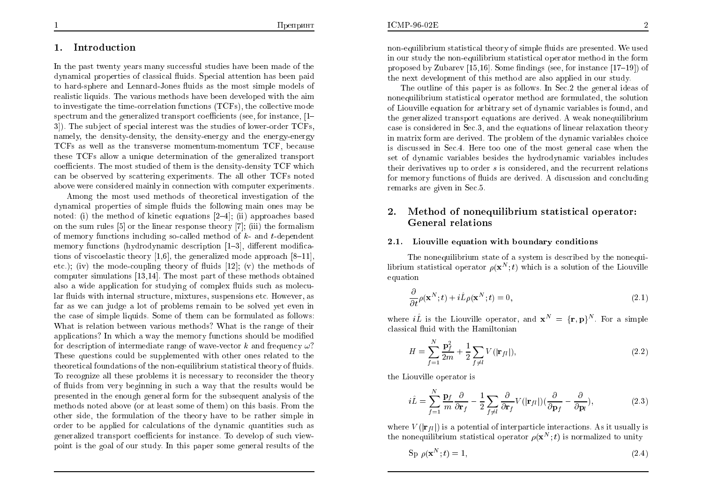### 1. Introduction

In the past twenty years many successful studies ha ve been made of the dynamical properties of classical uids. Special attention has been paid to hard-sphere and Lennard-Jones fluids as the most simple models of realistic liquids. The various methods have been developed with the aim to investigate the time-correlation functions (TCFs), the collective mode spectrum and the generalized transport coefficients (see, for instance,  $[1-2]$ ). The subject of anomial interest was the studies of lawer ander  $TCF_{\text{c}}$ 3]). The sub ject of special interest was the studies of lower-order TCFs, namely, the density-densit y, the density-energy and the energy-energy TCFs as well as the transverse momentum-momentum TCF, because these TCFs allow a unique determination of the generalized transport coefficients. The most studied of them is the density-density TCF which<br>can be chasired by seattering synariments. The all other TCFs pated can be observed by scattering experiments. The all other TCFs notedabove were considered mainly in connection with computer experiments.

Among the most used methods of theoretical in vestigation of the  $d$ ynamical properties of simple fluids the following main ones may be noted: (i) the method of kinetic equations  $[2-4]$ ; (ii) approaches based on the sum rules  $[5]$  or the linear response theory  $[7]$ ; (iii) the formalism of memory functions including so-called method of  $k$ - and  $t$ -dependent memory functions (hydrodynamic description  $[1-3]$ , different modifications of viscoelastic theory  $[1,6]$ , the generalized mode approach  $[8-11]$ , etc.); (iv) the mode-coupling theory of fluids  $[12]$ ; (v) the methods of computer simulations [13,14]. The most part of these methods obtainedalso a wide application for studying of complex fluids such as molecular fluids with internal structure, mixtures, suspensions etc. However, as far as we can judge a lot of problems remain to be solved yet even in the case of simple liquids. Some of them can be formulated as follows:<br>What is relation bet, see a suite mathed 2 What is the renue of their What is relation between various methods? What is the range of their applications? In which a way the memory functions should be modified for description of intermediate range of wave-vector  $k$  and frequency  $\omega$ ? These questions could be supplemented with other ones related to the theoretical foundations of the non-equilibrium statistical theory of fluids.<br>To researing all these problems it is peaseseny to researider the theory To recognize all these problems it is necessary to reconsider the theory of uids fromvery beginning in suc haway that the results would be presented in the enough general form for the subsequent analysis of the<br>methods nated share (an at least same of them) on this hasis. From the methods noted above (or at least some of them) on this basis. From the<br>them side, the formulation of the theory has a to be unther simulation other side, the formulation of the theory ha ve to be rather simple in order to be applied for calculations of the dynamic quantities suc h as generalized transport coefficients for instance. To develop of such viewpoint is the goa<sup>l</sup> of our study. In this paper some genera<sup>l</sup> results of the

non-equilibrium statistical theory of simple fluids are presented. We used<br>in our study the non-equilibrium statistical energter method in the form in our study the non-equilibrium statistical operator method in the form<br>nanogaed by Zubanav [15,16]. Some findings (see, for instance [17,10]), of proposed by Zubarev [15,16]. Some findings (see, for instance  $[17–19]$ ) of the next development of this method are also applied in our study.

The outline of this paper is as follows. In Sec.2 the genera<sup>l</sup> ideas of nonequilibrium statistical operator method are formulated, the solution<br>of Liauxilla armatian for subitance at of depends ariables is found and of Liouville equation for arbitrary set of dynamic variables is found, and the generalized transport equations are derived. Aweak nonequilibrium case is considered in Sec.3, and the equations of linear relaxation theory in matrix form are derived. The problem of the dynamic variables choice is discussed in Sec.4. Here too one of the most genera<sup>l</sup> case when the  $\operatorname{set}$  of dynamic variables besides the hydrodynamic variables includes their derivatives up to order *s* is considered, and the recurrent relations for memory functions of fluids are derived. A discussion and concluding remarks are <sup>g</sup>iven in Sec.5.

#### 2. Method of nonequilibrium statistical operator: General relations

### 2.1. Liouville equation with boundary conditions

The nonequilibrium state of a system is described by the nonequi-<br>material energies  $e(x^N, t)$  which is a selution of the Lieuville librium statistical operator  $\rho(\mathbf{x}^N;t)$  which is a solution of the Liouville ;equation

$$
\frac{\partial}{\partial t}\rho(\mathbf{x}^N;t) + i\hat{L}\rho(\mathbf{x}^N;t) = 0,
$$
\n(2.1)

where  $i\hat{L}$  is the Liouville operator, and  $\mathbf{x}^N = \{\mathbf{r}, \mathbf{p}\}^N$ . For a simple classical fluid with the Hamiltonian

$$
H = \sum_{f=1}^{N} \frac{\mathbf{p}_f^2}{2m} + \frac{1}{2} \sum_{f \neq l} V(|\mathbf{r}_{fl}|),
$$
\n(2.2)

the Liouville operator is

$$
i\hat{L} = \sum_{f=1}^{N} \frac{\mathbf{p}_f}{m} \frac{\partial}{\partial \mathbf{r}_f} - \frac{1}{2} \sum_{f \neq l} \frac{\partial}{\partial \mathbf{r}_f} V(|\mathbf{r}_{fl}|) (\frac{\partial}{\partial \mathbf{p}_f} - \frac{\partial}{\partial \mathbf{p}_l}),
$$
(2.3)

where  $V(|\mathbf{r}_{fl}|)$  is a potential of interparticle interactions. As it usually is the nonequilibrium statistical operator  $\rho(\mathbf{x}^N;t)$  is normalized to unity ;

$$
\operatorname{Sp}\, \rho(\mathbf{x}^N;t) = 1,\tag{2.4}
$$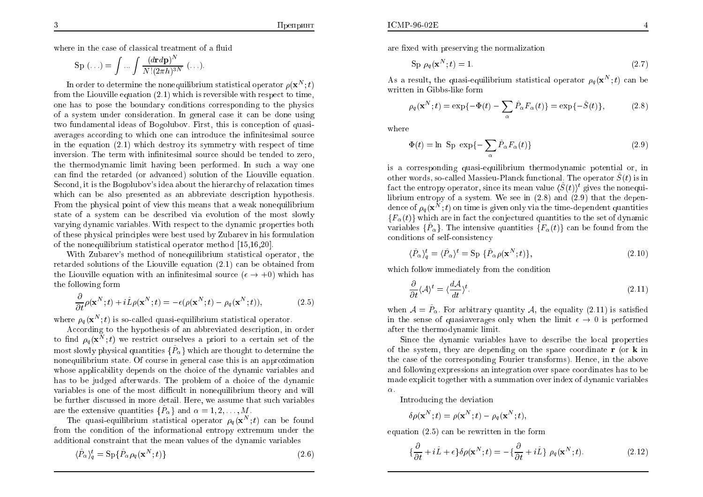where in the case of classical treatment of a fluid  $\,$ 

$$
Sp\,\left(\ldots\right) = \int \ldots \int \frac{(drd\mathbf{p})^N}{N!(2\pi h)^{3N}}\,\left(\ldots\right).
$$

In order to determine the nonequilibrium statistical operator  $\rho(\mathbf{x}^N;t)$ from the Liouville equation  $(2.1)$  which is reversible with respect to time, ;one has to pose the boundary conditions corresponding to the <sup>p</sup>hysics of a system under consideration. In general case it can be done using<br>two fundamental ideas of Bagalubay. First, this is concention of quasi two fundamental ideas of Bogolubov. First, this is conception of quasiaverages according to which one can introduce the infinitesimal source in the equation (2.1) which destroy its symmetry with respect of time inversion. The term with infinitesimal source should be tended to zero,<br>the thorus durantia limit he in a have negative of La such a source the thermodynamic limit having been performed. In suc haway one  $\,$  can find the retarded (or advanced) solution of the Liouville equation. Second, it is the Bogolubov's idea about the hierarc hy of relaxation times which can be also presented as an abbreviate description hypothesis.From the physical point of view this means that a weak nonequilibrium state of a system can be described via evolution of the most slowly varying dynamic variables. With respect to the dynamic properties both of these <sup>p</sup>hysical principles were best usedby Zubarev in his formulation of the nonequilibrium statistical operator method [15,16,20].<br>With Zuharavis method of nanosuilibrium statistical and

With Zubarev's method of nonequilibrium statistical operator, the<br>redact solutions of the Liquidle countion (2.1) can be obtained from retarded solutions of the Liouville equation (2.1) can be obtained fromthe Liouville equation with an infinitesimal source  $(\epsilon \to +0)$  which has<br>the following form the following form

$$
\frac{\partial}{\partial t}\rho(\mathbf{x}^N;t) + i\hat{L}\rho(\mathbf{x}^N;t) = -\epsilon(\rho(\mathbf{x}^N;t) - \rho_q(\mathbf{x}^N;t)),\tag{2.5}
$$

where  $\rho_q(\mathbf{x}^N;t)$  is so-called quasi-equilibrium statistical operator. ;

 According to the hypothesis of an abbreviated description, in order to find  $\rho_q(\mathbf{x}^N;t)$  we restrict ourselves a priori to a certain set of the most slowly physical quantities  $\{ \hat{P}_\alpha \}$  which are thought to determine the ;nonequilibrium state. Of course in genera<sup>l</sup> case this is an approximation whose applicabilit y depends on the choice of the dynamic variables andhas to be judged afterwards. The problem of a choice of the dynamic<br>regionless is and of the mest difficult in noncontlikenium theory and mill variables is one of the most difficult in nonequilibrium theory and will<br>be further discussed in more detail. Here, we assume that such regiobles be further discussed in more detail. Here, we assume that such variables are the extensive quantities  $\{\hat{P}_\alpha\}$  and  $\alpha = 1, 2, \ldots, M$ .

The quasi-equilibrium statistical operator  $\rho_q(\mathbf{x}^N;t)$  can be found from the condition of the informational entropy extremum under the<br>colditional constraint that the mean values of the dynamic variables ;additional constraint that the mean values of the dynamic variables

$$
\langle \hat{P}_{\alpha} \rangle_q^t = \text{Sp}\{\hat{P}_{\alpha} \rho_q(\mathbf{x}^N; t)\}\tag{2.6}
$$

are fixed with preserving the normalization

$$
\operatorname{Sp}\,p_q(\mathbf{x}^N;t)=1.\tag{2.7}
$$

As a result, the quasi-equilibrium statistical operator  $\rho_q(\mathbf{x}^N;t)$  can be<br>multiply in Cibba like form written in Gibbs-like form;

$$
\rho_q(\mathbf{x}^N;t) = \exp\{-\Phi(t) - \sum_{\alpha} \hat{P}_{\alpha} F_{\alpha}(t)\} = \exp\{-\hat{S}(t)\},\tag{2.8}
$$

where

$$
\Phi(t) = \ln \text{ Sp } \exp\{-\sum_{\alpha} \hat{P}_{\alpha} F_{\alpha}(t)\}\
$$
\n(2.9)

is a corresponding quasi-equilibrium thermodynamic potential or, in<br>athermode as salled Massian Planek functional Theoremator  $\hat{g}(t)$  is in other words, so-called Massieu-Planck functional. The operator  $\hat{S}(t)$  is in fact the entropy operator, since its mean value  $\langle \hat{S}(t)\rangle^t$  gives the nonequilibrium entropy of a system. We see in  $(2.8)$  and  $(2.9)$  that the depen-<br>dependent system. dence of  $\rho_q(\mathbf{x}^N;t)$  on time is given only via the time-dependent quantities  ${F_\alpha(t)}$  which are in fact the conjectured quantities to the set of dynamic ;variables  $\{\hat{P}_{\alpha}\}$ . The intensive quantities  $\{F_{\alpha}(t)\}$  can be found from the conditions of self-consistency

$$
\langle \hat{P}_{\alpha} \rangle_{q}^{t} = \langle \hat{P}_{\alpha} \rangle^{t} = \text{Sp} \{ \hat{P}_{\alpha} \rho(\mathbf{x}^{N}; t) \},\tag{2.10}
$$

which follo w immediately from the condition

$$
\frac{\partial}{\partial t} \langle A \rangle^t = \langle \frac{dA}{dt} \rangle^t. \tag{2.11}
$$

when  $\mathcal{A} = \hat{P}_{\alpha}$ . For arbitrary quantity  $\mathcal{A}$ , the equality (2.11) is satisfied in the sense of quasiaverages only when the limit  $\epsilon \to 0$  is performed after the thermodynamic limit after the thermodynamic limit.

Since the dynamic variables have to describe the local properties of the system, they are depending on the space coordinate <sup>r</sup> (or k in the case of the corresponding Fourier transforms). Hence, in the above and following expressions an integration over space coordinates has to be  $\rm m$ ade  $\rm exp$ licit toget $\rm her$  with a sum $\rm m$ ation over index of  $\rm dyn$ a $\rm m$ ic variables  $\alpha$ .

Introducing the deviation

$$
\delta \rho(\mathbf{x}^N;t) = \rho(\mathbf{x}^N;t) - \rho_q(\mathbf{x}^N;t),
$$

equation (2.5) can be rewritten in the form

$$
\{\frac{\partial}{\partial t} + i\hat{L} + \epsilon\} \delta \rho(\mathbf{x}^N; t) = -\{\frac{\partial}{\partial t} + i\hat{L}\} \rho_q(\mathbf{x}^N; t). \tag{2.12}
$$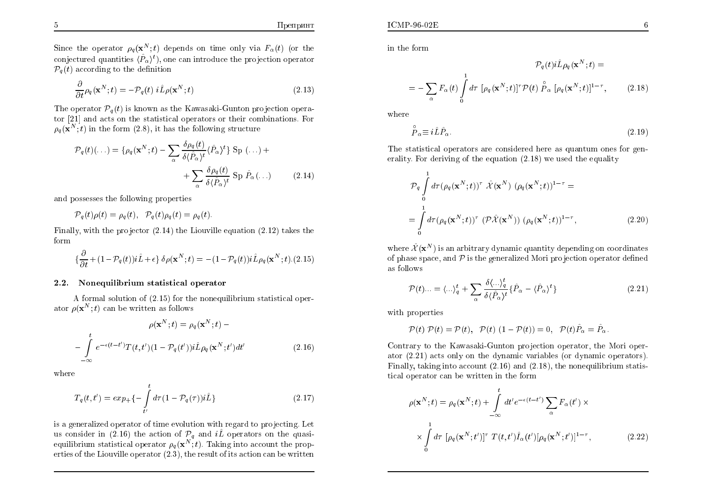Since the operator  $\rho_q(\mathbf{x}^N;t)$  depends on time only via  $F_\alpha(t)$  (or the conjectured quantities  $\langle \hat{P}_{\alpha} \rangle^t$ , one can introduce the projection operator ; $\mathcal{P}_q\left(t\right)$  according to the definition

$$
\frac{\partial}{\partial t}\rho_q(\mathbf{x}^N;t) = -\mathcal{P}_q(t)\ i\hat{L}\rho(\mathbf{x}^N;t)
$$
\n(2.13)

The operator  $\mathcal{P}_q(t)$  is known as the Kawasaki-Gunton projection operator [21] and acts on the statistical operators or their combinations. For $\rho_q(\mathbf{x}^N;t)$  in the form (2.8), it has the following structure

$$
\mathcal{P}_q(t)(\ldots) = \{ \rho_q(\mathbf{x}^N; t) - \sum_{\alpha} \frac{\delta \rho_q(t)}{\delta \langle \hat{P}_{\alpha} \rangle^t} \langle \hat{P}_{\alpha} \rangle^t \} \text{ Sp } (\ldots) + \sum_{\alpha} \frac{\delta \rho_q(t)}{\delta \langle \hat{P}_{\alpha} \rangle^t} \text{ Sp } \hat{P}_{\alpha}(\ldots)
$$
(2.14)

and possesses the following properties

$$
\mathcal{P}_q(t)\rho(t) = \rho_q(t), \quad \mathcal{P}_q(t)\rho_q(t) = \rho_q(t).
$$

Finally, with the projector (2.14) the Liouville equation (2.12) takes the form

$$
\{\frac{\partial}{\partial t} + (1 - \mathcal{P}_q(t))i\hat{L} + \epsilon\} \delta\rho(\mathbf{x}^N;t) = -(1 - \mathcal{P}_q(t))i\hat{L}\rho_q(\mathbf{x}^N;t). (2.15)
$$

## 2.2. Nonequilibrium statistical operator

A formal solution of  $(2.15)$  for the nonequilibrium statistical oper-<br> $e(x^N, t)$  can be written as follows ator  $\rho(\mathbf{x}^N;t)$  can be written as follows ;

$$
\rho(\mathbf{x}^N; t) = \rho_q(\mathbf{x}^N; t) -
$$

$$
-\int_{-\infty}^t e^{-\epsilon(t-t')} T(t, t') (1 - \mathcal{P}_q(t')) i \hat{L} \rho_q(\mathbf{x}^N; t') dt'
$$
(2.16)

where

$$
T_q(t, t') = exp_+ \{- \int\limits_{t'}^t d\tau (1 - \mathcal{P}_q(\tau)) i\hat{L} \}
$$
\n(2.17)

is a generalized operator of time evolution with regard to projecting. Let us consider in (2.16) the action of  $\mathcal{P}_q$  and  $i\hat{L}$  operators on the quasiequilibrium statistical operator  $\rho_q(\mathbf{x}^N;t)$ . Taking into account the properties of the Liouville operator  $(2.\overline{3})$ , the result of its action can be written ;

ICMP-96-02E

$$
\mathcal{P}_q(t) i\hat{L}\rho_q(\mathbf{x}^N; t) =
$$
  
= 
$$
-\sum_{\alpha} F_{\alpha}(t) \int_0^1 d\tau \, [\rho_q(\mathbf{x}^N; t)]^{\tau} \mathcal{P}(t) \stackrel{\circ}{P}_{\alpha} [\rho_q(\mathbf{x}^N; t)]^{1-\tau},
$$
(2.18)

where

$$
\stackrel{\circ}{P}_{\alpha} \equiv i\hat{L}\hat{P}_{\alpha}.\tag{2.19}
$$

The statistical operators are considered here as quantum ones for generality. Each desiring of the equation (2.18) we used the equality erality. For deriving of the equation (2.18) we used the equalit y

$$
\mathcal{P}_q \int_0^1 d\tau (\rho_q(\mathbf{x}^N;t))^{\tau} \hat{\mathcal{X}}(\mathbf{x}^N) (\rho_q(\mathbf{x}^N;t))^{1-\tau} =
$$
  
= 
$$
\int_0^1 d\tau (\rho_q(\mathbf{x}^N;t))^{\tau} (\mathcal{P}\hat{\mathcal{X}}(\mathbf{x}^N)) (\rho_q(\mathbf{x}^N;t))^{1-\tau},
$$
 (2.20)

where  $\hat{\mathcal{X}}(\mathbf{x}^{N})$  is an arbitrary dynamic quantity depending on coordinates of phase space, and  $P$  is the generalized Mori projection operator defined as follows

$$
\mathcal{P}(t)\dots = \langle \dots \rangle_q^t + \sum_{\alpha} \frac{\delta \langle \dots \rangle_q^t}{\delta \langle \hat{P}_{\alpha} \rangle^t} \{ \hat{P}_{\alpha} - \langle \hat{P}_{\alpha} \rangle^t \}
$$
\n(2.21)

with properties

$$
\mathcal{P}(t)\ \mathcal{P}(t)=\mathcal{P}(t),\ \ \mathcal{P}(t)\ (1-\mathcal{P}(t))=0,\ \ \mathcal{P}(t)\hat{P}_{\alpha}=\hat{P}_{\alpha}.
$$

Contrary to the Kawasaki-Gunton projection operator, the Mori operator (2.21) acts only on the dynamic variables (or dynamic operators). Finally, taking into account  $(2.16)$  and  $(2.18)$ , the nonequilibrium statistical operator can be written in the form

$$
\rho(\mathbf{x}^{N};t) = \rho_q(\mathbf{x}^{N};t) + \int_{-\infty}^{t} dt' e^{-\epsilon(t-t')} \sum_{\alpha} F_{\alpha}(t') \times \times \int_{0}^{1} d\tau \, [\rho_q(\mathbf{x}^{N};t')]^{\tau} T(t,t') \hat{I}_{\alpha}(t') [\rho_q(\mathbf{x}^{N};t')]^{1-\tau}, \qquad (2.22)
$$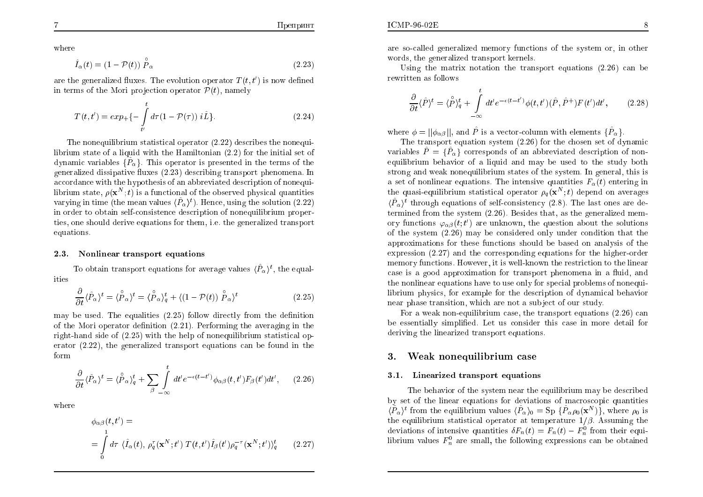where

$$
\hat{I}_{\alpha}(t) = (1 - \mathcal{P}(t)) \stackrel{\circ}{P}_{\alpha} \tag{2.23}
$$

are the generalized fluxes. The evolution operator  $T(t, t')$  is now defined in terms of the Mori projection operator  $\mathcal{P}(t)$ , namely

$$
T(t, t') = exp_{+}\{-\int_{t'}^{t} d\tau (1 - \mathcal{P}(\tau)) i\hat{L}\}.
$$
 (2.24)

The nonequilibrium statistical operator  $(2.22)$  describes the nonequi-<br>in the state of a limit it is the Hamiltonian  $(2.2)$  for the initial act of librium state of a liquid with the Hamiltonian  $(2.2)$  for the initial set of  $d$  particular  $(\hat{D})$ . This expected is approached in the terms of the dynamic variables  $\{\hat{P}_{\alpha}\}$ . This operator is presented in the terms of the generalized dissipative fluxes (2.23) describing transport phenomena. In accordance with the hypothesis of an abbreviated description of nonequilibrium state,  $\rho(\mathbf{x}^N;t)$  is a functional of the observed physical quantities varying in time (the mean values  $\langle \hat{P}_{\alpha} \rangle^{t}$ ). Hence, using the solution (2.22) in order to obtain self-consistence description of nonequilibrium properties, one should derive equations for them, i.e. the generalized transport equations.

#### 2.3. Nonlinear transport equations

To obtain transport equations for average values  $\langle \hat{P}_{\alpha} \rangle^{t}$ , the equalities

$$
\frac{\partial}{\partial t} \langle \hat{P}_{\alpha} \rangle^{t} = \langle \stackrel{\circ}{P}_{\alpha} \rangle^{t} = \langle \stackrel{\circ}{P}_{\alpha} \rangle_{q}^{t} + \langle (1 - \mathcal{P}(t)) \stackrel{\circ}{P}_{\alpha} \rangle^{t}
$$
(2.25)

may be used. The equalities  $(2.25)$  follow directly from the definition  $(6.31)$ . Performing the exampling in the of the Mori operator definition (2.21). Performing the averaging in the right-hand side of  $(2.25)$  with the help of nonequilibrium statistical op-<br>crater  $(2.22)$ , the generalized transport equations can be found in the erator (2.22), the generalized transport equations can be found in the form

$$
\frac{\partial}{\partial t} \langle \hat{P}_{\alpha} \rangle^{t} = \langle \overset{\circ}{P}_{\alpha} \rangle_{q}^{t} + \sum_{\beta} \int_{-\infty}^{t} dt' e^{-\epsilon(t-t')} \phi_{\alpha\beta}(t,t') F_{\beta}(t') dt', \qquad (2.26)
$$

where

$$
\phi_{\alpha\beta}(t, t') =
$$
\n
$$
= \int_{0}^{1} d\tau \ \langle \hat{I}_{\alpha}(t), \, \rho_{q}^{\tau}(\mathbf{x}^{N}; t') \, T(t, t') \hat{I}_{\beta}(t') \rho_{q}^{-\tau}(\mathbf{x}^{N}; t') \rangle_{q}^{t} \qquad (2.27)
$$

are so-called generalized memory functions of the system or, in other<br>words, the seneralized transport leapels words, the generalized transport kernels.

Using the matrix notation the transport equations  $(2.26)$  can be rewritten as follows

$$
\frac{\partial}{\partial t}\langle \hat{P}\rangle^t = \langle \overset{\circ}{P}\rangle_q^t + \int\limits_{-\infty}^t dt' e^{-\epsilon(t-t')} \phi(t,t') (\hat{P}, \hat{P}^+) F(t') dt', \qquad (2.28)
$$

where  $\phi = ||\phi_{\alpha\beta}||$ , and  $\hat{P}$  is a vector-column with elements  $\{\hat{P}_{\alpha}\}\$ .

The transport equation system  $(2.26)$  for the chosen set of dynamic<br>solar  $\hat{D}$  of  $\hat{D}$  degrees and a form abbreviated description of nonvariables  $\hat{P} = \{\hat{P}_{\alpha}\}\)$  corresponds of an abbreviated description of nonequilibrium behavior of a liquid and may be used to the study both express and map approximately in the study strong and weak nonequilibrium states of the system. In general, this is  $\epsilon$  and  $\epsilon$  functional system in  $\epsilon$  is intensive system in  $F(t)$  antening in a set of nonlinear equations. The intensive quantities  $F_{\alpha}(t)$  entering in the quasi-equilibrium statistical operator  $\rho_q(\mathbf{x}^N;t)$  depend on averages  $\langle \hat{P}_{\alpha} \rangle^t$  through equations of self-consistency (2.8). The last ones are de-;termined from the system  $(2.26)$ . Besides that, as the generalized mem-<br>reaction that  $(t, t')$  are unlined in the generalized point the calibration ory functions  $\varphi_{\alpha\beta}(t;t')$  are unknown, the question about the solutions of the system (2.26) ma y be considered only under condition that the approximations for these functions should be based on analysis of the expression (2.27) and the corresponding equations for the higher-order memory functions. Ho wever, it iswell-known the restriction to the linear case is a good approximation for transport phenomena in a fluid, and the nonlinear equations have to use only for special problems of nonequi librium <sup>p</sup>hysics, for example for the description of dynamical behavior near <sup>p</sup>hase transition, whic h are not a sub ject of our study.

For a weak non-equilibrium case, the transport equations (2.26) can<br>example implied that we consider this case in mane datail for be essentially simplied. Let us consider this case in more detail for deriving the linearized transport equations.

#### 3.Weak nonequilibrium case

### 3.1. Linearized transport equations

The behavior of the system near the equilibrium may be described<br>t of the linear equations for deviations of magnessaria quantities by set of the linear equations for deviations of macroscopic quantities  $\langle \hat{P}_{\alpha} \rangle$ <sup>t</sup> from the equilibrium values  $\langle \hat{P}_{\alpha} \rangle_0 = \text{Sp} \{ \hat{P}_{\alpha} \rho_0(\mathbf{x}^N) \},$  where  $\rho_0$  is the equilibrium statistical operator at temperature  $1/\beta$ . Assuming the deviations of intensive quantities  $\delta F_n(t) = F_n(t) - F_n^0$  from their equi-<br>likely we want the following authorization can be obtained librium values  $F_n^0$  are small, the following expressions can be obtained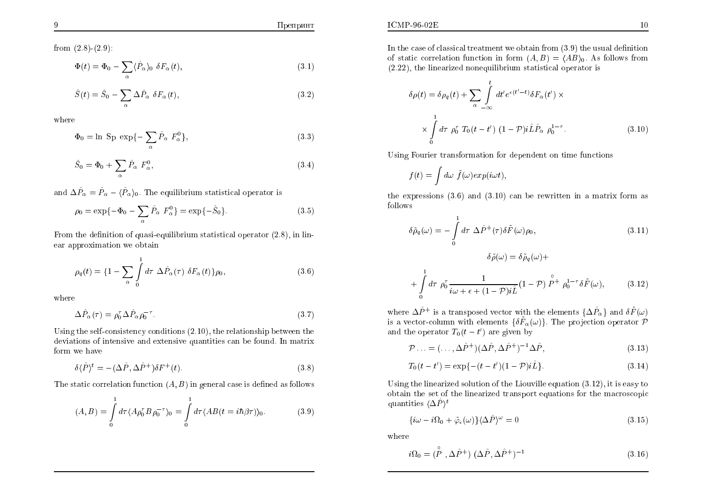Препринт

from  $(2.8)-(2.9)$ :

$$
\Phi(t) = \Phi_0 - \sum_{\alpha} \langle \hat{P}_{\alpha} \rangle_0 \, \delta F_{\alpha}(t), \tag{3.1}
$$

$$
\hat{S}(t) = \hat{S}_0 - \sum_{\alpha} \Delta \hat{P}_{\alpha} \ \delta F_{\alpha}(t), \tag{3.2}
$$

where

$$
\Phi_0 = \ln \text{ Sp } \exp\{-\sum_{\alpha} \hat{P}_{\alpha} F_{\alpha}^0\},\tag{3.3}
$$

$$
\hat{S}_0 = \Phi_0 + \sum_{\alpha} \hat{P}_{\alpha} F_{\alpha}^0,\tag{3.4}
$$

and  $\Delta \hat{P}_{\alpha} = \hat{P}_{\alpha} - \langle \hat{P}_{\alpha} \rangle_0$ . The equilibrium statistical operator is

$$
\rho_0 = \exp\{-\Phi_0 - \sum_{\alpha} \hat{P}_{\alpha} F_{\alpha}^0\} = \exp\{-\hat{S}_0\}.
$$
 (3.5)

From the definition of quasi-equilibrium statistical operator  $(2.8)$ , in linear approximation we obtain

$$
\rho_q(t) = \left\{1 - \sum_{\alpha} \int\limits_0^1 d\tau \ \Delta \hat{P}_{\alpha}(\tau) \ \delta F_{\alpha}(t)\right\} \rho_0,\tag{3.6}
$$

where

$$
\Delta \hat{P}_{\alpha}(\tau) = \rho_0^{\tau} \Delta \hat{P}_{\alpha} \rho_0^{-\tau}.
$$
\n(3.7)

Using the self-consistency conditions (2.10), the relationship between the deviations of intensive and extensive quantities can be found. In matrix form we have

$$
\delta \langle \hat{P} \rangle^t = -(\Delta \hat{P}, \Delta \hat{P}^+) \delta F^+(t). \tag{3.8}
$$

The static correlation function  $(A, B)$  in general case is defined as follows

$$
(A,B) = \int_{0}^{1} d\tau \langle A\rho_0^{\tau} B\rho_0^{-\tau} \rangle_0 = \int_{0}^{1} d\tau \langle AB(t = i\hbar \beta \tau) \rangle_0.
$$
 (3.9)

In the case of classical treatment we obtain from  $(3.9)$  the usual definition<br>of static correlation function in form  $(4, B) = (4B) = 4a$  follows from of static correlation function in form  $(A, B) = \langle AB \rangle_0$ . As follows from  $(2.22)$ , the linearized perceptibility atoticided exercise is (2.22), the linearized nonequilibrium statistical operator is

$$
\delta \rho(t) = \delta \rho_q(t) + \sum_{\alpha} \int_{-\infty}^t dt' e^{\epsilon(t'-t)} \delta F_{\alpha}(t') \times
$$

$$
\times \int_0^1 d\tau \ \rho_0^{\tau} T_0(t-t') \ (1-\mathcal{P}) i \hat{L} \hat{P}_{\alpha} \ \rho_0^{1-\tau}.
$$
 (3.10)

Using Fourier transformation for dependent on time functions

$$
f(t) = \int d\omega \ \tilde{f}(\omega) exp(i\omega t),
$$

the expressions  $(3.6)$  and  $(3.10)$  can be rewritten in a matrix form as follows

$$
\delta \tilde{\rho}_q(\omega) = -\int_0^1 d\tau \ \Delta \hat{P}^+(\tau) \delta \tilde{F}(\omega) \rho_0, \tag{3.11}
$$

$$
\delta \tilde{\rho}(\omega) = \delta \tilde{\rho}_q(\omega) +
$$

$$
+\int_{0}^{1} d\tau \; \rho_0^{\tau} \frac{1}{i\omega + \epsilon + (1-\mathcal{P})i\hat{L}} (1-\mathcal{P}) \stackrel{\circ}{P}^{+} \rho_0^{1-\tau} \delta \tilde{F}(\omega), \qquad (3.12)
$$

where  $\Delta \hat{P}^+$  is a transposed vector with the elements  $\{\Delta \hat{P}_\alpha\}$  and  $\delta \tilde{F}(\omega)$ is a vector-column with elements  $\{\delta \tilde{F}_{\alpha}(\omega)\}\)$ . The projection operator  $\mathcal P$ and the operator  $T_0(t-t')$  are given by

$$
\mathcal{P} \dots = (\dots, \Delta \hat{P}^+) (\Delta \hat{P}, \Delta \hat{P}^+)^{-1} \Delta \hat{P}, \tag{3.13}
$$

$$
T_0(t - t') = \exp\{-(t - t')(1 - \mathcal{P})i\hat{L}\}.
$$
\n(3.14)

Using the linearized solution of the Liouville equation (3.12), it is easy to obtain the set of the linearized transport equations for the macroscopic quantities  $\langle \Delta \hat{P} \rangle^t$ 

$$
\{\dot{i}\omega - i\Omega_0 + \tilde{\varphi}_\epsilon(\omega)\}\langle\Delta\hat{P}\rangle^\omega = 0\tag{3.15}
$$

where

$$
i\Omega_0 = (\stackrel{\circ}{P}, \Delta \stackrel{\circ}{P}) (\Delta \stackrel{\circ}{P}, \Delta \stackrel{\circ}{P})^{-1}
$$
\n(3.16)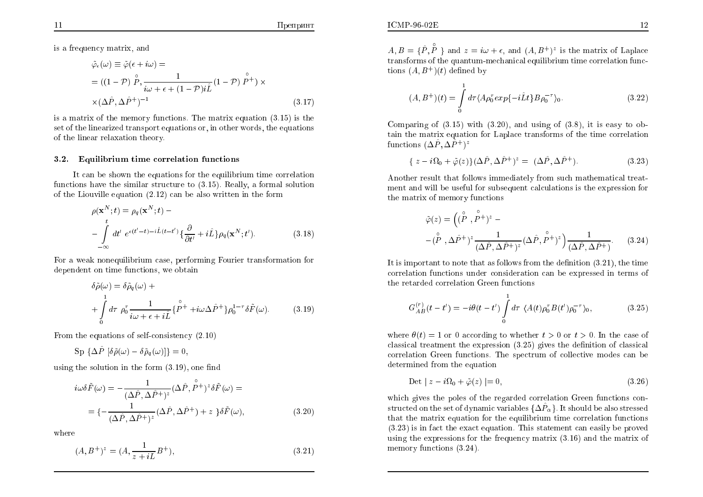#### Препринт

is a frequency matrix, and  $\,$ 

$$
\tilde{\varphi}_{\epsilon}(\omega) \equiv \tilde{\varphi}(\epsilon + i\omega) =
$$
\n
$$
= ((1 - \mathcal{P}) \stackrel{\circ}{P}, \frac{1}{i\omega + \epsilon + (1 - \mathcal{P})i\hat{L}} (1 - \mathcal{P}) \stackrel{\circ}{P^+}) \times
$$
\n
$$
\times (\Delta \hat{P}, \Delta \hat{P}^+)^{-1}
$$
\n(3.17)

is a matrix of the memory functions. The matrix equation  $(3.15)$  is the set of the linearized transport equations or, in other words, the equations of the linear relaxation theory.

## 3.2. Equilibrium time correlation functions

It can be shown the equations for the equilibrium time correlation functions have the similar structure to (3.15). Really, <sup>a</sup> formal solutionof the Liouville equation (2.12) can be also written in the form

$$
\rho(\mathbf{x}^{N};t) = \rho_q(\mathbf{x}^{N};t) - \int_{-\infty}^{t} dt' e^{\epsilon(t'-t)-i\hat{L}(t-t')} \{\frac{\partial}{\partial t'} + i\hat{L}\} \rho_q(\mathbf{x}^{N};t').
$$
\n(3.18)

For a weak nonequilibrium case, performing Fourier transformation for<br>dependent on time functions, we obtain dependent on time functions, we obtain

$$
\delta \tilde{\rho}(\omega) = \delta \tilde{\rho}_q(\omega) + + \int_0^1 d\tau \; \rho_0^{\tau} \frac{1}{i\omega + \epsilon + i\tilde{L}} \{ \stackrel{\circ}{P^+} + i\omega \Delta \hat{P}^+ \} \rho_0^{1-\tau} \delta \tilde{F}(\omega).
$$
 (3.19)

From the equations of self-consistency (2.10)

 $\text{Sp}~\{\Delta \hat{P}~[\delta \tilde{\rho}(\omega) - \delta \tilde{\rho}_q (\omega)]\} = 0,$ 

using the solution in the form  $(3.19)$ , one find

$$
i\omega\delta\tilde{F}(\omega) = -\frac{1}{(\Delta\hat{P}, \Delta\hat{P}^+)^z}(\Delta\hat{P}, \overset{\circ}{P}^+)^z \delta\tilde{F}(\omega) =
$$
  
=  $\{-\frac{1}{(\Delta\hat{P}, \Delta\hat{P}^+)^z}(\Delta\hat{P}, \Delta\hat{P}^+)+z\} \delta\tilde{F}(\omega),$  (3.20)

where

$$
(A, B^{+})^{z} = (A, \frac{1}{z + iL}B^{+}),
$$
\n(3.21)

 $A, B = \{\hat{P}, \hat{P}\}\$  and  $z = i\omega + \epsilon$ , and  $(A, B^+)^z$  is the matrix of Laplace transforms of the quantum-mechanical equilibrium time correlation func-<br>tions  $(4, B^+)$  (t) defined by tions  $(A, B^+)(t)$  defined by

$$
(A, B^{+})(t) = \int_{0}^{1} d\tau \langle A\rho_{0}^{\tau} exp\{-i\hat{L}t\} B\rho_{0}^{-\tau}\rangle_{0}.
$$
 (3.22)

Comparing of (3.15) with (3.20), and using of (3.8), it is easy to obtain the matrix equation for Laplace transforms of the time correlation functions  $(\Delta \hat{P} , \Delta \hat{P}^+)^z$ 

$$
\{ z - i\Omega_0 + \tilde{\varphi}(z) \} (\Delta \hat{P}, \Delta \hat{P}^+)^z = (\Delta \hat{P}, \Delta \hat{P}^+). \tag{3.23}
$$

Another result that follows immediately from such mathematical treat-Another result that follows immediately from such mathematical treat-<br>ment and will be useful for subsequent calculations is the expression for the matrix of memory functions

$$
\tilde{\varphi}(z) = \left( (\stackrel{\circ}{P}, \stackrel{\circ}{P}{}^{+})^{z} - \right.
$$

$$
- (\stackrel{\circ}{P}, \Delta \hat{P}{}^{+})^{z} \frac{1}{(\Delta \hat{P}, \Delta \hat{P}{}^{+})^{z}} (\Delta \hat{P}, \stackrel{\circ}{P}{}^{+})^{z} \right) \frac{1}{(\Delta \hat{P}, \Delta \hat{P}{}^{+})}. \tag{3.24}
$$

It is important to note that as follows from the definition  $(3.21)$ , the time correlation functions under consideration can be expressed in terms of the retarded correlation Green functions

$$
G_{AB}^{(r)}(t-t') = -i\theta(t-t') \int_{0}^{1} d\tau \ \langle A(t)\rho_0^{\tau} B(t')\rho_0^{-\tau} \rangle_0, \tag{3.25}
$$

where  $\theta(t) = 1$  or 0 according to whether  $t > 0$  or  $t > 0$ . In the case of classical treatment the expression (3.25) <sup>g</sup>ives the denition of classical correlation Green functions. The spectrum of collective modes can be<br>determined from the equation determined from the equation

$$
\text{Det} \mid z - i\Omega_0 + \tilde{\varphi}(z) \mid = 0,\tag{3.26}
$$

which <sup>g</sup>ives the poles of the regarded correlation Green functions constructed on the set of dynamic variables  $\{\Delta \hat{P}_\alpha\}$ . It should be also stressed that the matrix equation for the equilibrium time correlation functions  $(2, 22)$  is in fact the great equation. This statement can equily be proved (3.23) is in fact the exact equation. This statement can easily be pro ved using the expressions for the frequency matrix (3.16) and the matrix of memory functions (3.24).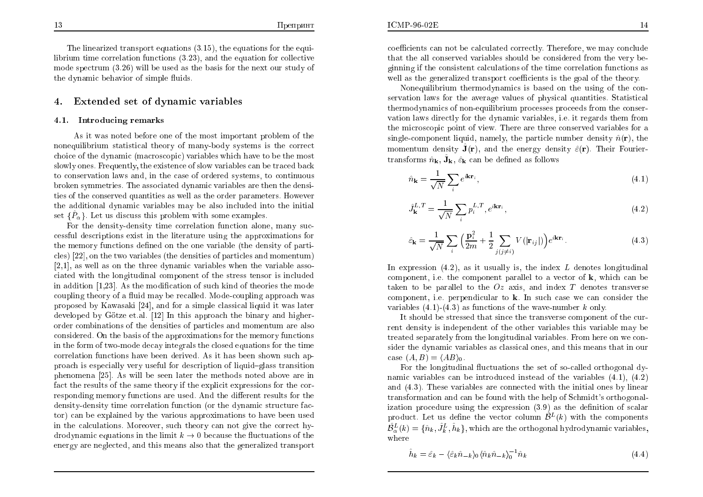The linearized transport equations (3.15), the equations for the equilibrium time correlation functions  $(3.23)$ , and the equation for collective<br>made apartnum  $(2.26)$  will be used as the basis for the part cur study of mode spectrum  $(3.26)$  will be used as the basis for the next our study of<br>the dynamic haberian of simple fluids the dynamic behavior of simple fluids.

#### 4.Extended set of dynamic variables

### 4.1. Introducing remarks

As it was noted before one of the most important problem of the second state of money hade expressed in the connect nonequilibrium statistical theory of many-body systems is the correct<br>chains of the dynamic (magneseonia) registed which have to be the magt choice of the dynamic (macroscopic) variables which ha ve to be the most slowly ones. Frequently, the existence of slowvariables can be traced bac k to conservation laws and, in the case of ordered systems, to continuous broken symmetries. The associated dynamic variables are then the densities of the conserved quantities as well as the order parameters. However the additional dynamic variables may be also included into the initial set  $\{\hat{P}_\alpha\}$ . Let us discuss this problem with some examples.

For the density-density time correlation function alone, many successful descriptions exist in the literature using the approximations for the memory functions defined on the one variable (the density of particles) [22], on the two variables (the densities of particles and momentum)  $[2,1]$ , as well as on the three dynamic variables when the variable asso ciated with the longitudinal component of the stress tensor is included in addition  $[1,23]$ . As the modification of such kind of theories the mode coupling theory of a fluid may be recalled. Mode-coupling approach was proposed by Kawasaki [24], and for a simple classical liquid it was later developed by Götze et.al. [12] In this approach the binary and higherorder combinations of the densities of particles and momentum are also<br>considered. On the hasia of the approximations for the momentum time times considered. On the basis of the approximations for the memory functions in the form of two-mode deca y integrals the closed equations for the time correlation functions ha ve been derived. As it has been shown suc h approach is especially very useful for description of liquid–glass transition phenomena [25]. As will be seen later the methods noted abo ve are in fact the results of the same theory if the explicit expressions for the corresponding memory functions are used. And the different results for the density-density time correlation function (or the dynamic structure fac tor) can be explained by the various approximations to ha ve been used in the calculations. Moreo ver, such theory can not <sup>g</sup>ive the correct hydrodynamic equations in the limit  $k \to 0$  because the fluctuations of the<br>energy are neglected, and this means also that the generalized transport energy are neglected, and this means also that the generalized transport

coefficients can not be calculated correctly. Therefore, we may conclude that the all conserved variables should be considered from the very be-<br> $\ddot{\rm s}$  in in if the consistent color<br>between a f the time consistent color ginning if the consistent calculations of the time correlation functions as well as the generalized transport coefficients is the goal of the theory.

Nonequilibrium thermodynamics is based on the using of the conservation laws for the average values of physical quantities. Statistical thermodynamics of non-equilibrium processes proceeds from the conser-<br>untion laws directly for the dynamic unrighter i.e. it negards them from vation laws directly for the dynamic variables, i.e. it regards them from<br>the minnessenie neint of view. There are three conserved variables for a the microscopic point of view. There are three conserved variables for  ${\rm a}$ single-component liquid, namely, the particle number density  $\hat{n}(\mathbf{r})$ , the momentum density  $\hat{\mathbf{J}}(\mathbf{r})$ , and the energy density  $\hat{\varepsilon}(\mathbf{r})$ . Their Fouriertransforms  $\hat{n}_{\mathbf{k}}, \hat{\mathbf{J}}_{\mathbf{k}}, \hat{\varepsilon}_{\mathbf{k}}$  can be defined as follows

$$
\hat{n}_{\mathbf{k}} = \frac{1}{\sqrt{N}} \sum_{i} e^{i\mathbf{k}\mathbf{r}_{i}},\tag{4.1}
$$

$$
\hat{J}_{\mathbf{k}}^{L,T} = \frac{1}{\sqrt{N}} \sum_{i} p_i^{L,T}, e^{i\mathbf{k}\mathbf{r}_i},\tag{4.2}
$$

$$
\hat{\varepsilon}_{\mathbf{k}} = \frac{1}{\sqrt{N}} \sum_{i} \left( \frac{\mathbf{p}_i^2}{2m} + \frac{1}{2} \sum_{j(j \neq i)} V(|\mathbf{r}_{ij}|) \right) e^{i\mathbf{k}\mathbf{r}_i}.
$$
 (4.3)

In expression  $(4.2)$ , as it usually is, the index  $L$  denotes longitudinal component, i.e. the component parallel to a vector of **, which can be** taken to be parallel to the  $Oz$  axis, and index  $T$  denotes transverse component, i.e. perpendicular to **k**. In such case we can consider the variables  $(4.1)$ - $(4.3)$  as functions of the wave-number k only.

 It should be stressed that since the transverse component of the current density is independent of the other variables this variable may be treated separately from the longitudinal variables. From here on we con-<br>sident he dynamic variables as clossical ance, and this means that in aux sider the dynamic variables as classical ones, and this means that in our case  $(A, B) = \langle AB \rangle_0$ .

For the longitudinal fluctuations the set of so-called orthogonal dynamic variables can be introduced instead of the variables  $(4.1)$ ,  $(4.2)$  and (4.3). These variables are connected with the initial ones by linear transformation and can be found with the help of Schmidt's orthogonalization procedure using the expression  $(3.9)$  as the definition of scalar product. Let us define the vector column  $\hat{\beta}^L(k)$  with the components  $\hat{\mathcal{B}}_{\alpha}^{L}(k) = \{\hat{n}_k, \hat{J}_k^L, \hat{h}_k\},$  which are the orthogonal hydrodynamic variables, where

$$
\hat{h}_k = \hat{\varepsilon}_k - \langle \hat{\varepsilon}_k \hat{n}_{-k} \rangle_0 \langle \hat{n}_k \hat{n}_{-k} \rangle_0^{-1} \hat{n}_k \tag{4.4}
$$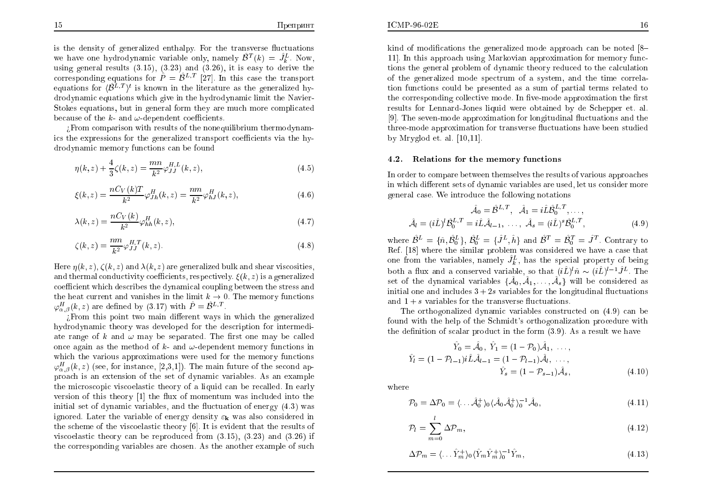$\Pi$ репринт

is the density of generalized enthalpy. For the transverse fluctuations we have one hydrodynamic variable only, namely  $\hat{\beta}^T(k) = \hat{J}_k^L$ . Now, using general results (3.15), (3.23) and (3.26), it is easy to derive the corresponding equations for  $\hat{P} = \hat{\mathcal{B}}^{L,T}$  [27]. In this case the transport equations for  $\langle \hat{\beta}^{L,T} \rangle^t$  is known in the literature as the generalized hy drodynamic equations whic h <sup>g</sup>ive in the hydrodynamic limit the Navier-Stokes equations, but in general form they are much more complicated<br>hassuse of the h and u dependent esefficients because of the  $k$ - and  $\omega$ -dependent coefficients.

External comparison with results of the nonequilibrium thermodynam-<br>the synnexiens for the generalized transport each significate the hyics the expressions for the generalized transport coefficients via the hydrodynamic memory functions can be found

$$
\eta(k, z) + \frac{4}{3}\zeta(k, z) = \frac{mn}{k^2}\varphi_{JJ}^{H, L}(k, z),\tag{4.5}
$$

$$
\xi(k,z) = \frac{nC_V(k)T}{k^2} \varphi_{Jh}^H(k,z) = \frac{nm}{k^2} \varphi_{hJ}^H(k,z),
$$
\n(4.6)

$$
\lambda(k,z) = \frac{nC_V(k)}{k^2} \varphi_{hh}^H(k,z),\tag{4.7}
$$

$$
\zeta(k,z) = \frac{nm}{k^2} \varphi_{JJ}^{H,T}(k,z). \tag{4.8}
$$

Here  $\eta(k, z)$ ,  $\zeta(k, z)$  and  $\lambda(k, z)$  are generalized bulk and shear viscosities, and thermal conductivity coefficients, respectively.  $\xi(k,z)$  is a generalized  $\operatorname{coefficient}$  which describes the dynamical coupling between the stress and the heat current and vanishes in the limit  $k \to 0$ . The memory functions  $\alpha H - (k \ z)$  are defined by  $(3.17)$  with  $\hat{P} = \hat{R}^{L,T}$  $\varphi_{\alpha,\beta}^{H}(k,z)$  are defined by (3.17) with  $\hat{P} = \hat{B}^{L,T}$ .

From this point two main different ways in which the generalized hydrodynamic theory was developed for the description for intermediate range of  $k$  and  $\omega$  may be separated. The first one may be called once again as the method of  $k$ - and  $\omega$ -dependent memory functions in which the various approximations were used for the memory functions  $\varphi_{\alpha,\beta}^H(k,z)$  (see, for instance, [2,3,1]). The main future of the second ap- proach is an extension of the set of dynamic variables. As an example the microscopic viscoelastic theory of a liquid can be recalled. In early  $\alpha$  version of this theory  $[1]$  the flux of momentum was included into the initial set of dynamic variables, and the fluctuation of energy  $(4.3)$  was ignored. Later the variable of energy density  $\varepsilon_{\mathbf{k}}$  was also considered in the scheme of the viscoelastic theory [6]. It is evident that the results of viscoelastic theory can be reproduced from  $(3.15)$ ,  $(3.23)$  and  $(3.26)$  if the corresponding variables are chosen. As the another  $\rm{example}$  of  $\rm{such}$ 

kind of modifications the generalized mode approach can be noted [8– 11]. In this approac h using Markovian approximation for memory functions the general problem of dynamic theory reduced to the calculation<br>of the generalized mode encody of a system, and the time semale of the generalized mode spectrum of a system, and the time correlation functions could be presented as a sum of partial terms related to the corresponding collective mode. In five-mode approximation the first  $\overline{\phantom{a}}$ results for Lennard-Jones liquid were obtained by de Schepper et. al. [9]. The seven-mode approximation for longitudinal fluctuations and the three-mode approximation for transverse fluctuations have been studied by Mryglod et. al. [10,11].

### 4.2. Relations for the memory functions

In order to compare bet ween themselves the results of various approaches in which different sets of dynamic variables are used, let us consider more general case. We introduce the following notations

$$
\hat{\mathcal{A}}_0 = \hat{\mathcal{B}}^{L,T}, \quad \hat{\mathcal{A}}_1 = i\hat{L}\hat{\mathcal{B}}_0^{L,T}, \dots, \n\hat{\mathcal{A}}_l = (i\hat{L})^l \hat{\mathcal{B}}_0^{L,T} = i\hat{L}\hat{\mathcal{A}}_{l-1}, \dots, \quad \hat{\mathcal{A}}_s = (i\hat{L})^s \hat{\mathcal{B}}_0^{L,T},
$$
\n(4.9)

where  $\hat{\mathcal{B}}^L = \{\hat{n}, \hat{\mathcal{B}}_0^L\}$ ,  $\hat{\mathcal{B}}_0^L = \{\hat{J}^L, \hat{h}\}$  and  $\hat{\mathcal{B}}^T = \hat{\mathcal{B}}_0^T = \hat{J}^T$ . Contrary to Ref. [18] where the similar problem was considered we have a case that one from the variables, namely  $\hat{J}_k^L$ , has the special property of being both a flux and a conserved variable, so that  $(i\hat{L})^l \hat{n} \sim (i\hat{L})^{l-1} \hat{J}^L$ . The set of the dynamical variables  $\{\hat{\mathcal{A}}_0, \hat{\mathcal{A}}_1, \ldots, \hat{\mathcal{A}}_s\}$  will be considered as initial one and includes  $3 + 2s$  variables for the longitudinal fluctuations and  $1 + s$  variables for the transverse fluctuations.

The orthogonalized dynamic variables constructed on (4.9) can be found with the help of the Schmidt's orthogonalization procedure with the definition of scalar product in the form  $(3.9)$ . As a result we have

$$
\hat{Y}_0 = \hat{\mathcal{A}}_0, \ \hat{Y}_1 = (1 - \mathcal{P}_0)\hat{\mathcal{A}}_1, \ \dots, \n\hat{Y}_l = (1 - \mathcal{P}_{l-1})i\hat{L}\hat{\mathcal{A}}_{l-1} = (1 - \mathcal{P}_{l-1})\hat{\mathcal{A}}_l, \ \dots, \n\hat{Y}_s = (1 - \mathcal{P}_{s-1})\hat{\mathcal{A}}_s,
$$
\n(4.10)

where

$$
\mathcal{P}_0 = \Delta \mathcal{P}_0 = \langle \dots \hat{\mathcal{A}}_0^+ \rangle_0 \langle \hat{\mathcal{A}}_0 \hat{\mathcal{A}}_0^+ \rangle_0^{-1} \hat{\mathcal{A}}_0,\tag{4.11}
$$

$$
\mathcal{P}_l = \sum_{m=0}^{l} \Delta \mathcal{P}_m,\tag{4.12}
$$

$$
\Delta \mathcal{P}_m = \langle \dots \hat{Y}_m^+ \rangle_0 \langle \hat{Y}_m \hat{Y}_m^+ \rangle_0^{-1} \hat{Y}_m, \tag{4.13}
$$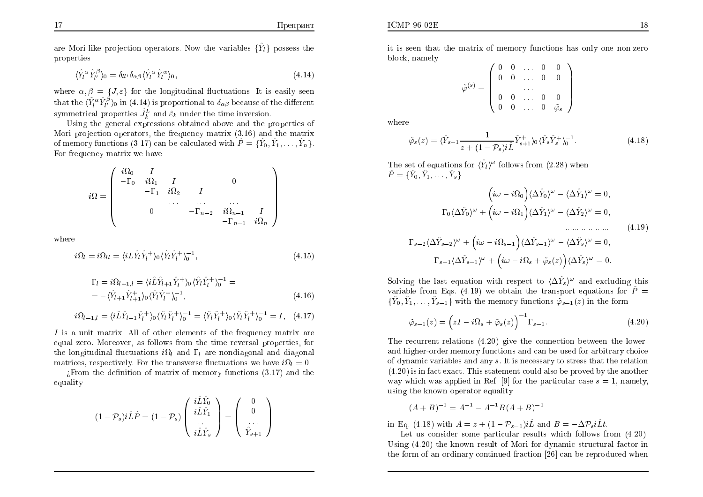are Mori-like projection operators. Now the variables  $\{\hat{Y}_l\}$  possess the properties

$$
\langle \hat{Y}_l^{\alpha} \hat{Y}_{l'}^{\beta} \rangle_0 = \delta_{ll'} \delta_{\alpha\beta} \langle \hat{Y}_l^{\alpha} \hat{Y}_l^{\alpha} \rangle_0, \tag{4.14}
$$

where  $\alpha, \beta = \{J, \varepsilon\}$  for the longitudinal fluctuations. It is easily seen that the  $\langle \hat{Y}_l^{\alpha} \hat{Y}_{l'}^{\beta} \rangle_0$  in  $(4.14)$  is proportional to  $\delta_{\alpha\beta}$  because of the different symmetrical properties  $\hat{J}_k^L$  and  $\hat{\varepsilon}_k$  under the time inversion.

 Using the genera<sup>l</sup> expressions obtained abo ve and the properties of Mori projection operators, the frequency matrix  $(3.16)$  and the matrix of memory functions (3.17) can be calculated with  $\hat{P} = \{\hat{Y}_0, \hat{Y}_1, \dots, \hat{Y}_n\}.$ For frequency matrix we have

$$
i\Omega = \begin{pmatrix}\ni\Omega_0 & I & & & & \\
-\Gamma_0 & i\Omega_1 & I & & 0 & \\
& -\Gamma_1 & i\Omega_2 & I & & \\
& & \cdots & \cdots & \cdots \\
& & & & -\Gamma_{n-2} & i\Omega_{n-1} & I \\
& & & & & -\Gamma_{n-1} & i\Omega_n\n\end{pmatrix}
$$

where

$$
i\Omega_l = i\Omega_{ll} = \langle iL\hat{Y}_l\hat{Y}_l^+\rangle_0 \langle \hat{Y}_l\hat{Y}_l^+\rangle_0^{-1},\tag{4.15}
$$

$$
\Gamma_l = i\Omega_{l+1,l} = \langle i\hat{L}\hat{Y}_{l+1}\hat{Y}_l^+\rangle_0 \langle \hat{Y}_l\hat{Y}_l^+\rangle_0^{-1} =
$$
  
= -\langle \hat{Y}\_{l+1}\hat{Y}\_{l+1}^+\rangle\_0 \langle \hat{Y}\_l\hat{Y}\_l^+\rangle\_0^{-1}, (4.16)

$$
i\Omega_{l-1,l} = \langle i\hat{L}\hat{Y}_{l-1}\hat{Y}_l^+\rangle_0 \langle \hat{Y}_l\hat{Y}_l^+\rangle_0^{-1} = \langle \hat{Y}_l\hat{Y}_l^+\rangle_0 \langle \hat{Y}_l\hat{Y}_l^+\rangle_0^{-1} = I, \quad (4.17)
$$

I is a unit matrix. All of other elements of the frequency matrix are equal zero. Moreover, as follows from the time reversal properties, for<br>the langitudinal fluctuations in and E, are particularly and diamonal the longitudinal fluctuations  $i\Omega_l$  and  $\Gamma_l$  are nondiagonal and diagonal matrices, respectively. For the transverse fluctuations we have  $i\Omega_l = 0$ .

¿From the definition of matrix of memory functions (3.17) and the  $\frac{1}{2}$ equality

$$
(1 - \mathcal{P}_s) i\hat{L}\hat{P} = (1 - \mathcal{P}_s) \begin{pmatrix} i\hat{L}\hat{Y}_0 \\ i\hat{L}\hat{Y}_1 \\ \vdots \\ i\hat{L}\hat{Y}_s \end{pmatrix} = \begin{pmatrix} 0 \\ 0 \\ \vdots \\ \vdots \\ \hat{Y}_{s+1} \end{pmatrix}
$$

it is seen that the matrix of memory functions has only one non-zero block, namely

$$
\tilde{\varphi}^{(s)} = \left( \begin{array}{cccc} 0 & 0 & \dots & 0 & 0 \\ 0 & 0 & \dots & 0 & 0 \\ & & \dots & & \\ 0 & 0 & \dots & 0 & 0 \\ 0 & 0 & \dots & 0 & \tilde{\varphi}_s \end{array} \right)
$$

where

$$
\tilde{\varphi}_s(z) = \langle \hat{Y}_{s+1} \frac{1}{z + (1 - \mathcal{P}_s)i\hat{L}} \hat{Y}_{s+1}^+ \rangle_0 \langle \hat{Y}_s \hat{Y}_s^+ \rangle_0^{-1}.
$$
\n(4.18)

The set of equations for  $\langle \hat{Y}_l \rangle^{\omega}$  follows from (2.28) when  $\hat{P}$   $\hat{Y}$  $\hat{P} = \{\hat{Y}_0, \hat{Y}_1, \dots, \hat{Y}_s\}$ 

$$
\left(i\omega - i\Omega_0\right)\langle\Delta \hat{Y}_0\rangle^{\omega} - \langle\Delta \hat{Y}_1\rangle^{\omega} = 0,
$$
  

$$
\Gamma_0 \langle\Delta \hat{Y}_0\rangle^{\omega} + \left(i\omega - i\Omega_1\right)\langle\Delta \hat{Y}_1\rangle^{\omega} - \langle\Delta \hat{Y}_2\rangle^{\omega} = 0,
$$
  

$$
\Gamma_{s-2}\langle\Delta\hat{Y}_{s-2}\rangle^{\omega} + \left(i\omega - i\Omega_{s-1}\right)\langle\Delta\hat{Y}_{s-1}\rangle^{\omega} - \langle\Delta\hat{Y}_{s}\rangle^{\omega} = 0,
$$
  

$$
\Gamma_{s-1}\langle\Delta\hat{Y}_{s-1}\rangle^{\omega} + \left(i\omega - i\Omega_{s} + \tilde{\varphi}_{s}(z)\right)\langle\Delta\hat{Y}_{s}\rangle^{\omega} = 0.
$$

Solving the last equation with respect to  $\langle \Delta Y_s \rangle^{\omega}$  and excluding this variable from Eqs. (4.19) we obtain the transport equations for  $\hat{P} = (\hat{Y} \ \hat{Y} \ \hat{Y})$  with the memory functions  $\hat{P}$  (c) in the form  $\{\hat{Y}_0, \hat{Y}_1, \ldots, \hat{Y}_{s-1}\}$  with the memory functions  $\tilde{\varphi}_{s-1}(z)$  in the form

$$
\tilde{\varphi}_{s-1}(z) = \left(zI - i\Omega_s + \tilde{\varphi}_s(z)\right)^{-1} \Gamma_{s-1}.
$$
\n(4.20)

The recurrent relations (4.20) <sup>g</sup>ive the connection bet ween the lo werand higher-order memory functions and can be used for arbitrary choice of dynamicvariables and an y s. It is necessary to stress that the relation $(4.20)$  is in fact exact. This statement could also be proved by the another way which was applied in Ref. [9] for the particular case  $s = 1$ , namely, using the known operator equalit y

$$
(A + B)^{-1} = A^{-1} - A^{-1}B(A + B)^{-1}
$$

in Eq. (4.18) with  $A = z + (1 - \mathcal{P}_{s-1})i\hat{L}$  and  $B = -\Delta \mathcal{P}_s i\hat{L}t$ .

Let us consider some particular results which follows from (4.20).<br>ng (4.20) the known result of Movi for dynamic structural foctor in Using (4.20) the known result of Mori for dynamic structural factor in the form of an ordinary continued fraction [26] can be reproduced when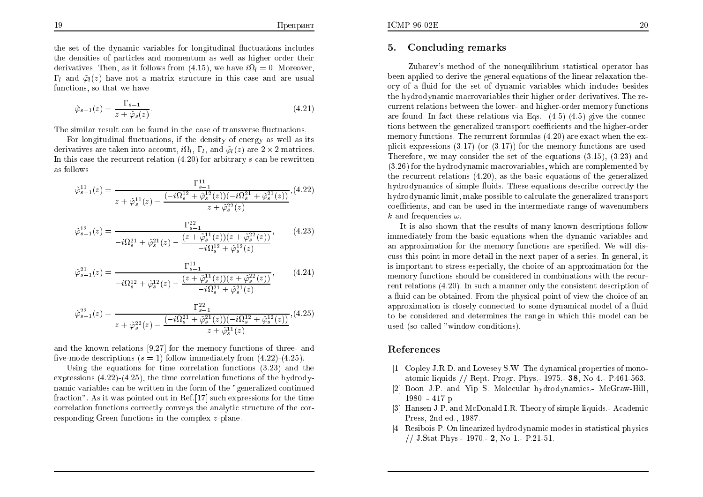the set of the dynamic variables for longitudinal fluctuations includes the densities of particles and momentum as well as higher order their<br>denimatives. Then as it follows from (4.15), we have in a Margaret derivatives. Then, as it follows from  $(4.15)$ , we have  $i\Omega_l = 0$ . Moreover,  $\Gamma_l$  and  $\tilde{\varphi}_l(z)$  have not a matrix structure in this case and are usual functions, so that we have

$$
\tilde{\varphi}_{s-1}(z) = \frac{\Gamma_{s-1}}{z + \tilde{\varphi}_s(z)}.\tag{4.21}
$$

The similar result can be found in the case of transverse fluctuations.

For longitudinal fluctuations, if the density of energy as well as its derivatives are taken into account,  $i\Omega_l$ ,  $\Gamma_l$ , and  $\tilde{\varphi}_l(z)$  are  $2 \times 2$  matrices. In this case the recurrent relation  $(4.20)$  for arbitrary s can be rewritten as follows

$$
\tilde{\varphi}_{s-1}^{11}(z) = \frac{\Gamma_{s-1}^{11}(z)}{z + \tilde{\varphi}_s^{11}(z) - \frac{(-i\Omega_s^{12} + \tilde{\varphi}_s^{12}(z))(-i\Omega_s^{21} + \tilde{\varphi}_s^{21}(z))}{z + \tilde{\varphi}_s^{22}(z)},
$$
(4.22)

$$
\tilde{\varphi}_{s-1}^{12}(z) = \frac{\Gamma_{s-1}^{22}}{-i\Omega_s^{21} + \tilde{\varphi}_s^{21}(z) - \frac{(z + \tilde{\varphi}_s^{11}(z))(z + \tilde{\varphi}_s^{22}(z))}{-i\Omega_s^{12} + \tilde{\varphi}_s^{12}(z)}},\tag{4.23}
$$

$$
\tilde{\varphi}_{s-1}^{21}(z) = \frac{\Gamma_{s-1}^{11}}{-i\Omega_s^{12} + \tilde{\varphi}_s^{12}(z) - \frac{(z + \tilde{\varphi}_s^{11}(z))(z + \tilde{\varphi}_s^{22}(z))}{-i\Omega_s^{21} + \tilde{\varphi}_s^{21}(z)}},\tag{4.24}
$$

$$
\tilde{\varphi}_{s-1}^{22}(z) = \frac{\Gamma_{s-1}^{22}}{z + \tilde{\varphi}_s^{22}(z) - \frac{(-i\Omega_s^{21} + \tilde{\varphi}_s^{21}(z))(-i\Omega_s^{12} + \tilde{\varphi}_s^{12}(z))}{z + \tilde{\varphi}_s^{11}(z)}}, (4.25)
$$

and the known relations [9,27] for the memory functions of three- and five-mode descriptions  $(s = 1)$  follow immediately from  $(4.22)$ - $(4.25)$ .

Using the equations for time correlation functions (3.23) and the expressions (4.22)-(4.25), the time correlation functions of the hydrodynamic variables can be written in the form of the "generalized continued"<br>for this "extend" delivers related cut in  $\mathbf{D}$  of [17] and any continued for the time fraction". As it was pointed out in Ref.[17] suc h expressions for the time correlation functions correctly con veys the analytic structure of the corresponding Green functions in the complex z-plane.

#### 5.Concluding remarks

Zubarev's method of the nonequilibrium statistical operator has been applied to derive the genera<sup>l</sup> equations of the linear relaxation theory of a fluid for the set of dynamic variables which includes besides  $t$ he hydrodynamic macrovariables  $t$ heir higher order derivatives. The re- current relations bet ween the lo wer- and higher-order memory functions are found. In fact these relations via Eqs. (4.5)-(4.5) <sup>g</sup>ive the connections between the generalized transport coefficients and the higher-order memory functions. The recurrent formulas (4.20) are exact when the explicit expressions (3.17) (or (3.17)) for the memory functions are used. Therefore,we may consider the set of the equations (3.15), (3.23) and $(3.26)$  for the hydrodynamic macrovariables, which are complemented by the recurrent relations (4.20), as the basic equations of the generalizedhydrodynamics of simple fluids. These equations describe correctly the hydrodynamic limit, make possible to calculate the generalized transport coefficients, and can be used in the intermediate range of wavenumbers k and frequencies  $\omega$ .

It is also shown that the results of man y known descriptions follo wimmediately from the basic equations when the dynamic variables and<br>an anomazimetic far the mamany functions are another We will dis an approximation for the memory functions are specied. We will discuss this point in more detail in the next paper of a series. In general, it is important to stress especially, the choice of an approximation for the memory functions should be considered in combinations with the recurrent relations (4.20). In suc ha manner only the consistent description of a fluid can be obtained. From the physical point of view the choice of an<br>example in the physical point of a series language for finite approximation is closely connected to some dynamical model of a fluid to be considered and determines the range in whic h this model can be used (so-called "windo w conditions).

### References

- [1] Copley J.R.D. and Lo vesey S.W. The dynamical properties of monoatomic liquids // Rept. Progr. Phys.- 1975.- 38, No 4.- P.461-563.
- [2] Boon J.P. and Yip S. Molecular hydrodynamics.- McGraw-Hill, 1980. - <sup>417</sup> p.
- [3] Hansen J.P. and McDonald I.R. Theory of simple liquids.- Academic Press, 2nd ed., 1987.
- [4] ResiboisP. On linearized hydrodynamic modes in statistical <sup>p</sup>hysics // J.Stat.Phys.- 1970.- 2, No 1.- P.21-51.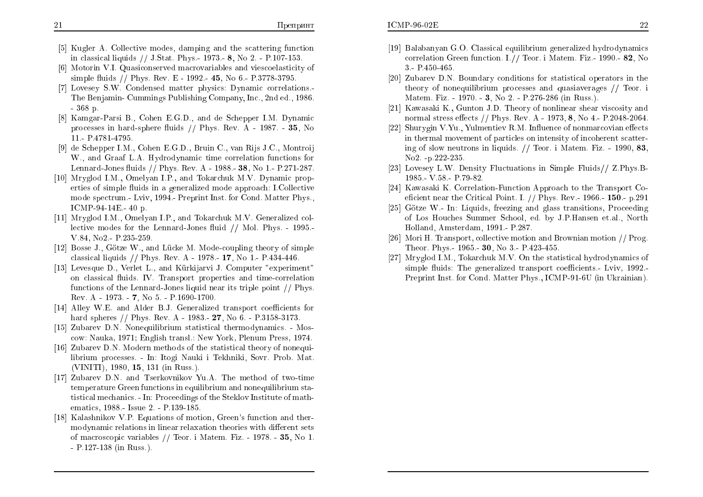- [5] Kugler A. Collective modes, damping and the scattering function in classical liquids // J.Stat. Phys.- 1973.- 8, No 2. - P.107-153.
- [6] Motorin V.I. Quasiconserved macrovariables and viescoelasticity of simple fluids // Phys. Rev. E - 1992.- 45, No 6.- P.3778-3795.
- [7] Lovesey S.W. Condensed matter <sup>p</sup>hysics: Dynamic correlations.- The Benjamin- Cummings Publishing Company, Inc., 2nd ed., 1986. - <sup>368</sup> p.
- [8] Kamgar-Parsi B., Cohen E.G.D., and de Schepper I.M. Dynamic processes in hard-sphere fluids // Phys. Rev. A - 1987. - **35**, No<br>11 - B.4791,4795 11.- P.4781-4795.
- [9] de Schepper I.M., Cohen E.G.D., Bruin C., van Rijs J.C., Montroij W., and Graaf L.A. Hydrodynamic time correlation functions for Lennard-Jones uids // Phys. Rev. <sup>A</sup> - 1988.- 38, No 1.- P.271-287.
- [10] Mryglod I.M., Omelyan I.P., and Tokarchuk M.V. Dynamic properties of simple fluids in a generalized mode approach: I Collective mode spectrum.- Lviv, 1994.- Preprint Inst. for Cond. Matter Phys., ICMP-94-14E.- <sup>40</sup> p.
- [11] Mryglod I.M., Omelyan I.P., and Tokarchuk M.V. Generalized collective modes for the Lennard-Jones fluid  $//$  Mol. Phys. - 1995.-V.84, No2.- P.235-259.
- [12] Bosse J., Götze W., and Lücke M. Mode-coupling theory of simple classical liquids // Phys. Rev. <sup>A</sup> - 1978.- 17, No 1.- P.434-446.
- [13] Levesque D., Verlet L., and Kurkijarvi J. Computer "experiment" on classical fluids. IV. Transport properties and time-correlation functions of the Lennard-Jones liquid near its triple point // Phys. Rev. A - 1973. - 7, No 5. - P.1690-1700.
- [14] Alley W.E. and Alder B.J. Generalized transport coefficients for hard spheres // Phys. Rev. <sup>A</sup> - 1983.- 27, No 6. - P.3158-3173.
- [15] Zubarev D.N. Nonequilibrium statistical thermodynamics. Moscow: Nauka, 1971; English transl.: New York, Plenum Press, 1974.
- [16] Zubarev D.N. Modern methods of the statistical theory of nonequilibrium processes. - In: Itogi Nauki <sup>i</sup> Tekhniki, Sovr. Prob. Mat. (VINITI), 1980, 15, 131 (in Russ.).
- [17] Zubarev D.N. and Tserkovnikov Yu.A. The method of two-time temperature Green functions in equilibrium and nonequilibrium statistical mechanics. - In: Proceedings of the Steklov Institute of mathematics, 1988.- Issue 2. - P.139-185.
- [18] Kalashnikov V.P. Equations of motion, Green's function and ther- $\operatorname{mody}$ namic relations in linear relaxation theories with different sets of macroscopic variables // Teor. <sup>i</sup> Matem. Fiz. - 1978. - 35, No 1. - P.127-138 (in Russ.).
- [19] Balabanyan G.O. Classical equilibrium generalized hydrodynamics correlation Green function. I.// Teor. i Matem. Fiz.- 1990.- 82, No 3.- P.450-465.
- [20] Zubarev D.N. Boundary conditions for statistical operators in the theory of nonequilibrium processes and quasiaverages // Teor. i<br>Meters Eise 1070 – 2 Ne. 2 – D.276,286 (in D.176) Matem. Fiz. - 1970. - 3, No 2. - P.276-286 (in Russ.).
- [21] Kawasaki K., Gunton J.D. Theory of nonlinear shear viscosity and normal stress effects // Phys. Rev. A - 1973, 8, No 4.- P.2048-2064.
- [22] Shurygin V.Yu., Yulmentiev R.M. Influence of nonmarcovian effects in thermal movement of particles on intensity of incoherent scattering of slow neutrons in liquids. // Teor. <sup>i</sup> Matem. Fiz. - 1990, 83, No2. -p.222-235.
- [23] Lovesey L.W. Density Fluctuations in Simple Fluids// Z.Phys.B-1985.- V.58.- P.79-82.
- [24] Kawasaki K. Correlation-Function Approach to the Transport Coeficient near the Critical Point. I.  $//$  Phys. Rev.- 1966.- 150.- p.291
- [25] Gotze W.- In: Liquids, freezing and <sup>g</sup>lass transitions, Proceeding of Los Houches Summer School, ed. by J.P.Hansen et.al., North Holland, Amsterdam, 1991.- P.287.
- [26] Mori H. Transport, collective motion and Brownian motion // Prog. Theor. Phys.-  $1965$ .-  $30$ , No 3.- P.423-455.
- [27] Mryglod I.M., Tokarchuk M.V. On the statistical hydrodynamics of  ${\rm simple\,\,fluids:\,\,The\,\,generalized\,\,\,transport\,\,coefficients.\,\,Lviv,\,\,1992.}$ Preprint Inst. for Cond. Matter Phys., ICMP-91-6U (in Ukrainian).